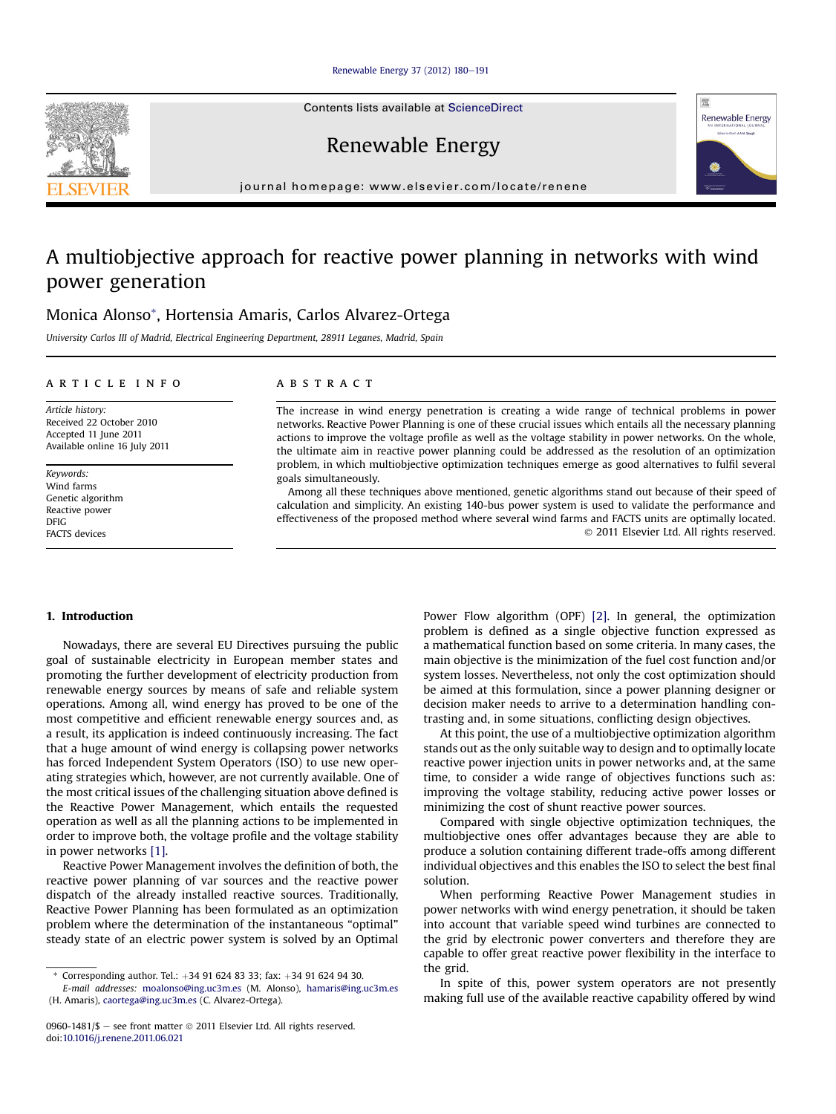#### [Renewable Energy 37 \(2012\) 180](http://dx.doi.org/10.1016/j.renene.2011.06.021)-[191](http://dx.doi.org/10.1016/j.renene.2011.06.021)

Contents lists available at ScienceDirect

Renewable Energy

journal homepage: [www.elsevier.com/locate/renene](http://www.elsevier.com/locate/renene)

# A multiobjective approach for reactive power planning in networks with wind power generation

# Monica Alonso\*, Hortensia Amaris, Carlos Alvarez-Ortega

University Carlos III of Madrid, Electrical Engineering Department, 28911 Leganes, Madrid, Spain

### article info

Article history: Received 22 October 2010 Accepted 11 June 2011 Available online 16 July 2011

Keywords: Wind farms Genetic algorithm Reactive power DFIG FACTS devices

## **ABSTRACT**

The increase in wind energy penetration is creating a wide range of technical problems in power networks. Reactive Power Planning is one of these crucial issues which entails all the necessary planning actions to improve the voltage profile as well as the voltage stability in power networks. On the whole, the ultimate aim in reactive power planning could be addressed as the resolution of an optimization problem, in which multiobjective optimization techniques emerge as good alternatives to fulfil several goals simultaneously.

Among all these techniques above mentioned, genetic algorithms stand out because of their speed of calculation and simplicity. An existing 140-bus power system is used to validate the performance and effectiveness of the proposed method where several wind farms and FACTS units are optimally located. 2011 Elsevier Ltd. All rights reserved.

### 1. Introduction

Nowadays, there are several EU Directives pursuing the public goal of sustainable electricity in European member states and promoting the further development of electricity production from renewable energy sources by means of safe and reliable system operations. Among all, wind energy has proved to be one of the most competitive and efficient renewable energy sources and, as a result, its application is indeed continuously increasing. The fact that a huge amount of wind energy is collapsing power networks has forced Independent System Operators (ISO) to use new operating strategies which, however, are not currently available. One of the most critical issues of the challenging situation above defined is the Reactive Power Management, which entails the requested operation as well as all the planning actions to be implemented in order to improve both, the voltage profile and the voltage stability in power networks [1].

Reactive Power Management involves the definition of both, the reactive power planning of var sources and the reactive power dispatch of the already installed reactive sources. Traditionally, Reactive Power Planning has been formulated as an optimization problem where the determination of the instantaneous "optimal" steady state of an electric power system is solved by an Optimal Power Flow algorithm (OPF) [2]. In general, the optimization problem is defined as a single objective function expressed as a mathematical function based on some criteria. In many cases, the main objective is the minimization of the fuel cost function and/or system losses. Nevertheless, not only the cost optimization should be aimed at this formulation, since a power planning designer or decision maker needs to arrive to a determination handling contrasting and, in some situations, conflicting design objectives.

At this point, the use of a multiobjective optimization algorithm stands out as the only suitable way to design and to optimally locate reactive power injection units in power networks and, at the same time, to consider a wide range of objectives functions such as: improving the voltage stability, reducing active power losses or minimizing the cost of shunt reactive power sources.

Compared with single objective optimization techniques, the multiobjective ones offer advantages because they are able to produce a solution containing different trade-offs among different individual objectives and this enables the ISO to select the best final solution.

When performing Reactive Power Management studies in power networks with wind energy penetration, it should be taken into account that variable speed wind turbines are connected to the grid by electronic power converters and therefore they are capable to offer great reactive power flexibility in the interface to the grid.

In spite of this, power system operators are not presently making full use of the available reactive capability offered by wind





<sup>\*</sup> Corresponding author. Tel.:  $+34$  91 624 83 33; fax:  $+34$  91 624 94 30.

E-mail addresses: [moalonso@ing.uc3m.es](mailto:moalonso@ing.uc3m.es) (M. Alonso), [hamaris@ing.uc3m.es](mailto:hamaris@ing.uc3m.es) (H. Amaris), [caortega@ing.uc3m.es](mailto:caortega@ing.uc3m.es) (C. Alvarez-Ortega).

<sup>0960-1481/\$ -</sup> see front matter  $\odot$  2011 Elsevier Ltd. All rights reserved. doi:[10.1016/j.renene.2011.06.021](http://dx.doi.org/10.1016/j.renene.2011.06.021)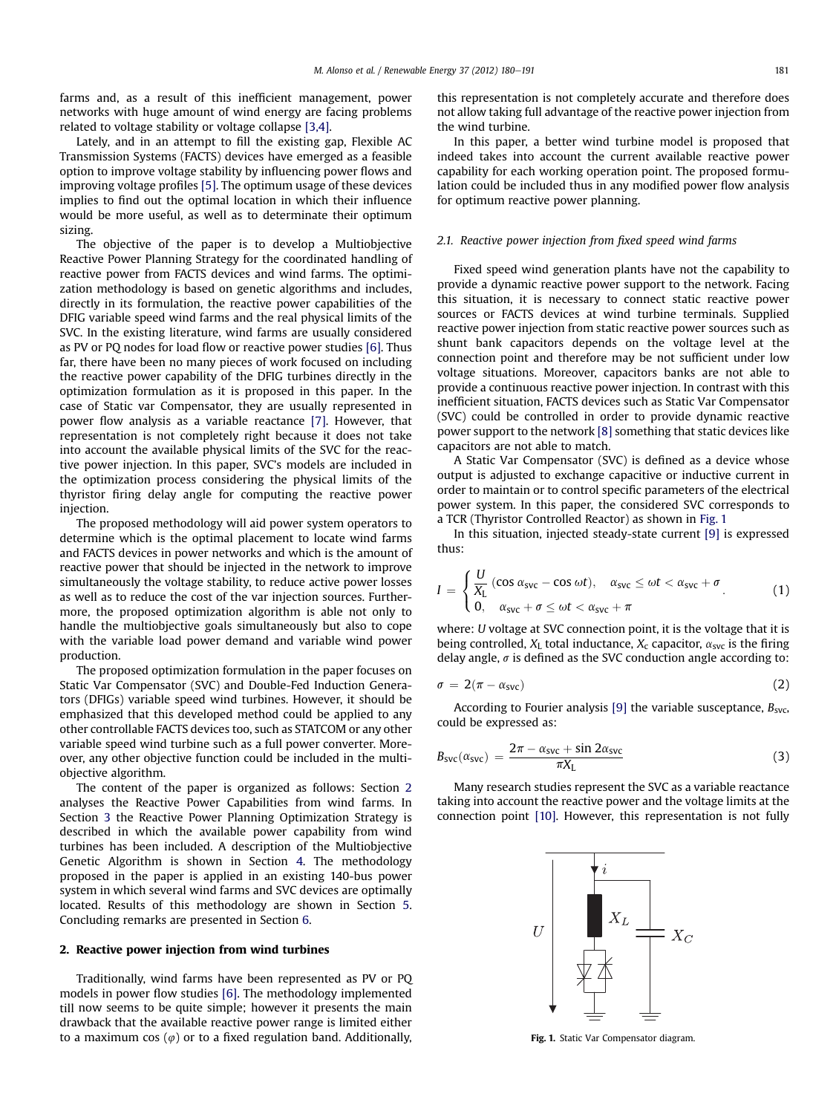farms and, as a result of this inefficient management, power networks with huge amount of wind energy are facing problems related to voltage stability or voltage collapse [3,4].

Lately, and in an attempt to fill the existing gap, Flexible AC Transmission Systems (FACTS) devices have emerged as a feasible option to improve voltage stability by influencing power flows and improving voltage profiles [5]. The optimum usage of these devices implies to find out the optimal location in which their influence would be more useful, as well as to determinate their optimum sizing.

The objective of the paper is to develop a Multiobjective Reactive Power Planning Strategy for the coordinated handling of reactive power from FACTS devices and wind farms. The optimization methodology is based on genetic algorithms and includes, directly in its formulation, the reactive power capabilities of the DFIG variable speed wind farms and the real physical limits of the SVC. In the existing literature, wind farms are usually considered as PV or PQ nodes for load flow or reactive power studies [6]. Thus far, there have been no many pieces of work focused on including the reactive power capability of the DFIG turbines directly in the optimization formulation as it is proposed in this paper. In the case of Static var Compensator, they are usually represented in power flow analysis as a variable reactance [7]. However, that representation is not completely right because it does not take into account the available physical limits of the SVC for the reactive power injection. In this paper, SVC's models are included in the optimization process considering the physical limits of the thyristor firing delay angle for computing the reactive power injection.

The proposed methodology will aid power system operators to determine which is the optimal placement to locate wind farms and FACTS devices in power networks and which is the amount of reactive power that should be injected in the network to improve simultaneously the voltage stability, to reduce active power losses as well as to reduce the cost of the var injection sources. Furthermore, the proposed optimization algorithm is able not only to handle the multiobjective goals simultaneously but also to cope with the variable load power demand and variable wind power production.

The proposed optimization formulation in the paper focuses on Static Var Compensator (SVC) and Double-Fed Induction Generators (DFIGs) variable speed wind turbines. However, it should be emphasized that this developed method could be applied to any other controllable FACTS devices too, such as STATCOM or any other variable speed wind turbine such as a full power converter. Moreover, any other objective function could be included in the multiobjective algorithm.

The content of the paper is organized as follows: Section 2 analyses the Reactive Power Capabilities from wind farms. In Section 3 the Reactive Power Planning Optimization Strategy is described in which the available power capability from wind turbines has been included. A description of the Multiobjective Genetic Algorithm is shown in Section 4. The methodology proposed in the paper is applied in an existing 140-bus power system in which several wind farms and SVC devices are optimally located. Results of this methodology are shown in Section 5. Concluding remarks are presented in Section 6.

#### 2. Reactive power injection from wind turbines

Traditionally, wind farms have been represented as PV or PQ models in power flow studies [6]. The methodology implemented till now seems to be quite simple; however it presents the main drawback that the available reactive power range is limited either to a maximum cos  $(\varphi)$  or to a fixed regulation band. Additionally,

this representation is not completely accurate and therefore does not allow taking full advantage of the reactive power injection from the wind turbine.

In this paper, a better wind turbine model is proposed that indeed takes into account the current available reactive power capability for each working operation point. The proposed formulation could be included thus in any modified power flow analysis for optimum reactive power planning.

#### 2.1. Reactive power injection from fixed speed wind farms

Fixed speed wind generation plants have not the capability to provide a dynamic reactive power support to the network. Facing this situation, it is necessary to connect static reactive power sources or FACTS devices at wind turbine terminals. Supplied reactive power injection from static reactive power sources such as shunt bank capacitors depends on the voltage level at the connection point and therefore may be not sufficient under low voltage situations. Moreover, capacitors banks are not able to provide a continuous reactive power injection. In contrast with this inefficient situation, FACTS devices such as Static Var Compensator (SVC) could be controlled in order to provide dynamic reactive power support to the network [8] something that static devices like capacitors are not able to match.

A Static Var Compensator (SVC) is defined as a device whose output is adjusted to exchange capacitive or inductive current in order to maintain or to control specific parameters of the electrical power system. In this paper, the considered SVC corresponds to a TCR (Thyristor Controlled Reactor) as shown in Fig. 1

In this situation, injected steady-state current [9] is expressed thus:

$$
I = \begin{cases} \frac{U}{X_L} (\cos \alpha_{\text{svc}} - \cos \omega t), & \alpha_{\text{svc}} \le \omega t < \alpha_{\text{svc}} + \sigma \\ 0, & \alpha_{\text{svc}} + \sigma \le \omega t < \alpha_{\text{svc}} + \pi \end{cases}
$$
(1)

where: *U* voltage at SVC connection point, it is the voltage that it is being controlled,  $X_L$  total inductance,  $X_c$  capacitor,  $\alpha_{\rm{svc}}$  is the firing delay angle,  $\sigma$  is defined as the SVC conduction angle according to:

$$
\sigma = 2(\pi - \alpha_{\text{svc}}) \tag{2}
$$

According to Fourier analysis [9] the variable susceptance,  $B<sub>src</sub>$ , could be expressed as:

$$
B_{\rm svc}(\alpha_{\rm svc}) = \frac{2\pi - \alpha_{\rm svc} + \sin 2\alpha_{\rm svc}}{\pi X_{\rm L}}
$$
(3)

Many research studies represent the SVC as a variable reactance taking into account the reactive power and the voltage limits at the connection point [10]. However, this representation is not fully



Fig. 1. Static Var Compensator diagram.